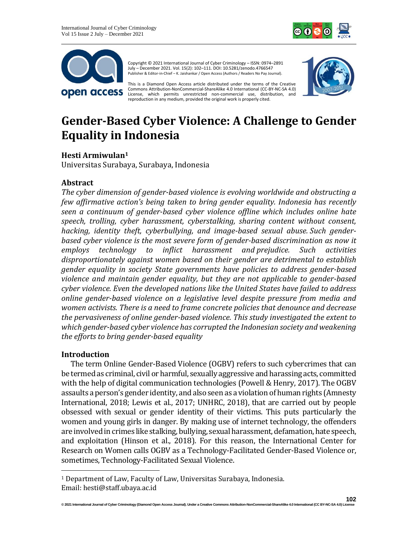



Copyright © 2021 International Journal of Cyber Criminology – ISSN: 0974–2891 July – December 2021. Vol. 15(2): 102–111. DOI: 10.5281/zenodo.4766547 Publisher & Editor-in-Chief – K. Jaishankar / Open Access (Authors / Readers No Pay Journal).

This is a Diamond Open Access article distributed under the terms of the Creative Commons Attribution-NonCommercial-ShareAlike 4.0 International (CC-BY-NC-SA 4.0) License, which permits unrestricted non-commercial use, distribution, and reproduction in any medium, provided the original work is properly cited.



# **Gender-Based Cyber Violence: A Challenge to Gender Equality in Indonesia**

# **Hesti Armiwulan<sup>1</sup>**

Universitas Surabaya, Surabaya, Indonesia

## **Abstract**

*The cyber dimension of gender-based violence is evolving worldwide and obstructing a few affirmative action's being taken to bring gender equality. Indonesia has recently seen a continuum of gender-based cyber violence offline which includes online hate speech, trolling, cyber harassment, cyberstalking, sharing content without consent, hacking, identity theft, cyberbullying, and image-based sexual abuse. Such genderbased cyber violence is the most severe form of gender-based discrimination as now it employs technology to inflict harassment and prejudice. Such activities disproportionately against women based on their gender are detrimental to establish gender equality in society State governments have policies to address gender-based violence and maintain gender equality, but they are not applicable to gender-based cyber violence. Even the developed nations like the United States have failed to address online gender-based violence on a legislative level despite pressure from media and women activists. There is a need to frame concrete policies that denounce and decrease the pervasiveness of online gender-based violence. This study investigated the extent to which gender-based cyber violence has corrupted the Indonesian society and weakening the efforts to bring gender-based equality*

## **Introduction**

The term Online Gender-Based Violence (OGBV) refers to such cybercrimes that can be termed as criminal, civil or harmful, sexually aggressive and harassing acts, committed with the help of digital communication technologies (Powell & Henry, 2017). The OGBV assaults a person's gender identity, and also seen as a violation of human rights (Amnesty International, 2018; Lewis et al., 2017; UNHRC, 2018), that are carried out by people obsessed with sexual or gender identity of their victims. This puts particularly the women and young girls in danger. By making use of internet technology, the offenders are involved in crimes like stalking, bullying, sexual harassment, defamation, hate speech, and exploitation (Hinson et al., 2018). For this reason, the International Center for Research on Women calls OGBV as a Technology-Facilitated Gender-Based Violence or, sometimes, Technology-Facilitated Sexual Violence.

<sup>1</sup> Department of Law, Faculty of Law, Universitas Surabaya, Indonesia. Email: hesti@staff.ubaya.ac.id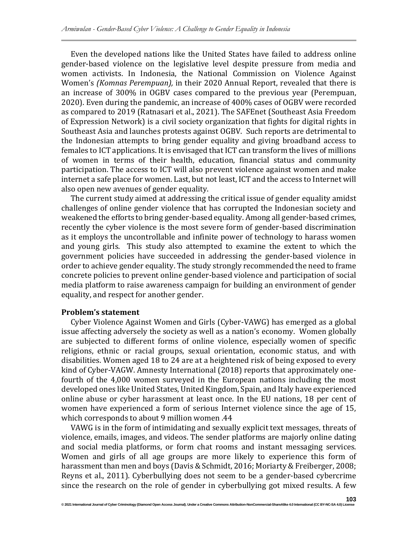Even the developed nations like the United States have failed to address online gender-based violence on the legislative level despite pressure from media and women activists. In Indonesia, the National Commission on Violence Against Women's *(Komnas Perempuan),* in their 2020 Annual Report, revealed that there is an increase of 300% in OGBV cases compared to the previous year (Perempuan, 2020). Even during the pandemic, an increase of 400% cases of OGBV were recorded as compared to 2019 (Ratnasari et al., 2021). The SAFEnet (Southeast Asia Freedom of Expression Network) is a civil society organization that fights for digital rights in Southeast Asia and launches protests against OGBV. Such reports are detrimental to the Indonesian attempts to bring gender equality and giving broadband access to females to ICT applications. It is envisaged that ICT can transform the lives of millions of women in terms of their health, education, financial status and community participation. The access to ICT will also prevent violence against women and make internet a safe place for women. Last, but not least, ICT and the access to Internet will also open new avenues of gender equality.

The current study aimed at addressing the critical issue of gender equality amidst challenges of online gender violence that has corrupted the Indonesian society and weakened the efforts to bring gender-based equality. Among all gender-based crimes, recently the cyber violence is the most severe form of gender-based discrimination as it employs the uncontrollable and infinite power of technology to harass women and young girls. This study also attempted to examine the extent to which the government policies have succeeded in addressing the gender-based violence in order to achieve gender equality. The study strongly recommended the need to frame concrete policies to prevent online gender-based violence and participation of social media platform to raise awareness campaign for building an environment of gender equality, and respect for another gender.

#### **Problem's statement**

Cyber Violence Against Women and Girls (Cyber-VAWG) has emerged as a global issue affecting adversely the society as well as a nation's economy. Women globally are subjected to different forms of online violence, especially women of specific religions, ethnic or racial groups, sexual orientation, economic status, and with disabilities. Women aged 18 to 24 are at a heightened risk of being exposed to every kind of Cyber-VAGW. Amnesty International (2018) reports that approximately onefourth of the 4,000 women surveyed in the European nations including the most developed ones like United States, United Kingdom, Spain, and Italy have experienced online abuse or cyber harassment at least once. In the EU nations, 18 per cent of women have experienced a form of serious Internet violence since the age of 15, which corresponds to about 9 million women .44

VAWG is in the form of intimidating and sexually explicit text messages, threats of violence, emails, images, and videos. The sender platforms are majorly online dating and social media platforms, or form chat rooms and instant messaging services. Women and girls of all age groups are more likely to experience this form of harassment than men and boys (Davis & Schmidt, 2016; Moriarty & Freiberger, 2008; Reyns et al., 2011). Cyberbullying does not seem to be a gender-based cybercrime since the research on the role of gender in cyberbullying got mixed results. A few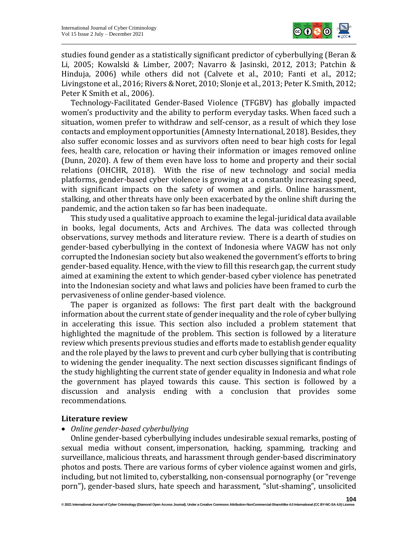

studies found gender as a statistically significant predictor of cyberbullying (Beran & Li, 2005; Kowalski & Limber, 2007; Navarro & Jasinski, 2012, 2013; Patchin & Hinduja, 2006) while others did not (Calvete et al., 2010; Fanti et al., 2012; Livingstone et al., 2016; Rivers & Noret, 2010; Slonje et al., 2013; Peter K. Smith, 2012; Peter K Smith et al., 2006).

Technology-Facilitated Gender-Based Violence (TFGBV) has globally impacted women's productivity and the ability to perform everyday tasks. When faced such a situation, women prefer to withdraw and self-censor, as a result of which they lose contacts and employment opportunities (Amnesty International, 2018). Besides, they also suffer economic losses and as survivors often need to bear high costs for legal fees, health care, relocation or having their information or images removed online (Dunn, 2020). A few of them even have loss to home and property and their social relations (OHCHR, 2018). With the rise of new technology and social media platforms, gender-based cyber violence is growing at a constantly increasing speed, with significant impacts on the safety of women and girls. Online harassment, stalking, and other threats have only been exacerbated by the online shift during the pandemic, and the action taken so far has been inadequate.

This study used a qualitative approach to examine the legal-juridical data available in books, legal documents, Acts and Archives. The data was collected through observations, survey methods and literature review. There is a dearth of studies on gender-based cyberbullying in the context of Indonesia where VAGW has not only corrupted the Indonesian society but also weakened the government's efforts to bring gender-based equality. Hence, with the view to fill this research gap, the current study aimed at examining the extent to which gender-based cyber violence has penetrated into the Indonesian society and what laws and policies have been framed to curb the pervasiveness of online gender-based violence.

The paper is organized as follows: The first part dealt with the background information about the current state of gender inequality and the role of cyber bullying in accelerating this issue. This section also included a problem statement that highlighted the magnitude of the problem. This section is followed by a literature review which presents previous studies and efforts made to establish gender equality and the role played by the laws to prevent and curb cyber bullying that is contributing to widening the gender inequality. The next section discusses significant findings of the study highlighting the current state of gender equality in Indonesia and what role the government has played towards this cause. This section is followed by a discussion and analysis ending with a conclusion that provides some recommendations.

## **Literature review**

• *Online gender-based cyberbullying*

Online gender-based cyberbullying includes undesirable sexual remarks, posting of sexual media without consent, impersonation, hacking, spamming, tracking and surveillance, malicious threats, and harassment through gender-based discriminatory photos and posts. There are various forms of cyber violence against women and girls, including, but not limited to, cyberstalking, non-consensual pornography (or "revenge porn"), gender-based slurs, hate speech and harassment, "slut-shaming", unsolicited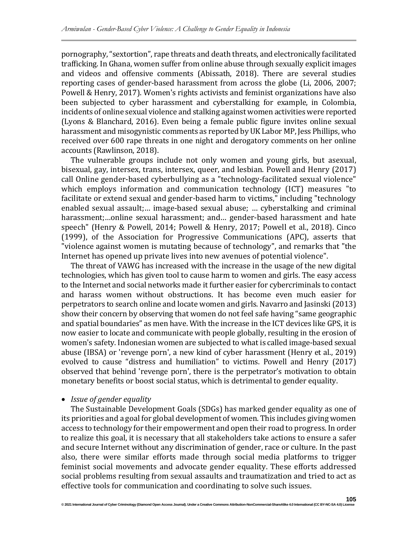pornography, "sextortion", rape threats and death threats, and electronically facilitated trafficking. In Ghana, women suffer from online abuse through sexually explicit images and videos and offensive comments (Abissath, 2018). There are several studies reporting cases of gender-based harassment from across the globe (Li, 2006, 2007; Powell & Henry, 2017). Women's rights activists and feminist organizations have also been subjected to cyber harassment and cyberstalking for example, in Colombia, incidents of online sexual violence and stalking against women activities were reported (Lyons & Blanchard, 2016). Even being a female public figure invites online sexual harassment and misogynistic comments as reported by UK Labor MP, Jess Phillips, who received over 600 rape threats in one night and derogatory comments on her online accounts (Rawlinson, 2018).

The vulnerable groups include not only women and young girls, but asexual, bisexual, gay, intersex, trans, intersex, queer, and lesbian. Powell and Henry (2017) call Online gender-based cyberbullying as a "technology-facilitated sexual violence" which employs information and communication technology (ICT) measures "to facilitate or extend sexual and gender-based harm to victims," including "technology enabled sexual assault;… image-based sexual abuse; … cyberstalking and criminal harassment;…online sexual harassment; and… gender-based harassment and hate speech" (Henry & Powell, 2014; Powell & Henry, 2017; Powell et al., 2018). Cinco (1999), of the Association for Progressive Communications (APC), asserts that "violence against women is mutating because of technology", and remarks that "the Internet has opened up private lives into new avenues of potential violence".

The threat of VAWG has increased with the increase in the usage of the new digital technologies, which has given tool to cause harm to women and girls. The easy access to the Internet and social networks made it further easier for cybercriminals to contact and harass women without obstructions. It has become even much easier for perpetrators to search online and locate women and girls. Navarro and Jasinski (2013) show their concern by observing that women do not feel safe having "same geographic and spatial boundaries" as men have. With the increase in the ICT devices like GPS, it is now easier to locate and communicate with people globally, resulting in the erosion of women's safety. Indonesian women are subjected to what is called image-based sexual abuse (IBSA) or 'revenge porn', a new kind of cyber harassment (Henry et al., 2019) evolved to cause "distress and humiliation" to victims. Powell and Henry (2017) observed that behind 'revenge porn', there is the perpetrator's motivation to obtain monetary benefits or boost social status, which is detrimental to gender equality.

#### • *Issue of gender equality*

**© 2021 International Journal of Cyber Criminology (Diamond Open Access Journal). Under a Creative Commons Attribution-NonCommercial-ShareAlike 4.0 International (CC BY-NC-SA 4.0) License**

The Sustainable Development Goals (SDGs) has marked gender equality as one of its priorities and a goal for global development of women. This includes giving women access to technology for their empowerment and open their road to progress. In order to realize this goal, it is necessary that all stakeholders take actions to ensure a safer and secure Internet without any discrimination of gender, race or culture. In the past also, there were similar efforts made through social media platforms to trigger feminist social movements and advocate gender equality. These efforts addressed social problems resulting from sexual assaults and traumatization and tried to act as effective tools for communication and coordinating to solve such issues.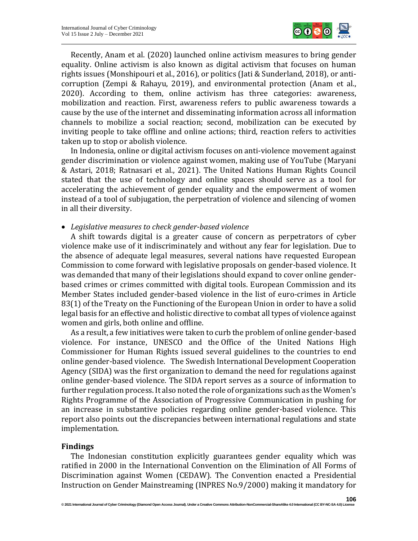

Recently, Anam et al. (2020) launched online activism measures to bring gender equality. Online activism is also known as digital activism that focuses on human rights issues (Monshipouri et al., 2016), or politics (Jati & Sunderland, 2018), or anticorruption (Zempi & Rahayu, 2019), and environmental protection (Anam et al., 2020). According to them, online activism has three categories: awareness, mobilization and reaction. First, awareness refers to public awareness towards a cause by the use of the internet and disseminating information across all information channels to mobilize a social reaction; second, mobilization can be executed by inviting people to take offline and online actions; third, reaction refers to activities taken up to stop or abolish violence.

In Indonesia, online or digital activism focuses on anti-violence movement against gender discrimination or violence against women, making use of YouTube (Maryani & Astari, 2018; Ratnasari et al., 2021). The United Nations Human Rights Council stated that the use of technology and online spaces should serve as a tool for accelerating the achievement of gender equality and the empowerment of women instead of a tool of subjugation, the perpetration of violence and silencing of women in all their diversity.

## • *Legislative measures to check gender-based violence*

A shift towards digital is a greater cause of concern as perpetrators of cyber violence make use of it indiscriminately and without any fear for legislation. Due to the absence of adequate legal measures, several nations have requested European Commission to come forward with legislative proposals on gender-based violence. It was demanded that many of their legislations should expand to cover online genderbased crimes or crimes committed with digital tools. European Commission and its Member States included gender-based violence in the list of euro-crimes in Article 83(1) of the Treaty on the Functioning of the European Union in order to have a solid legal basis for an effective and holistic directive to combat all types of violence against women and girls, both online and offline.

As a result, a few initiatives were taken to curb the problem of online gender-based violence. For instance, UNESCO and the Office of the United Nations High Commissioner for Human Rights issued several guidelines to the countries to end online gender-based violence. The Swedish International Development Cooperation Agency (SIDA) was the first organization to demand the need for regulations against online gender-based violence. The SIDA report serves as a source of information to further regulation process. It also noted the role of organizations such as the Women's Rights Programme of the Association of Progressive Communication in pushing for an increase in substantive policies regarding online gender-based violence. This report also points out the discrepancies between international regulations and state implementation.

## **Findings**

The Indonesian constitution explicitly guarantees gender equality which was ratified in 2000 in the International Convention on the Elimination of All Forms of Discrimination against Women (CEDAW). The Convention enacted a Presidential Instruction on Gender Mainstreaming (INPRES No.9/2000) making it mandatory for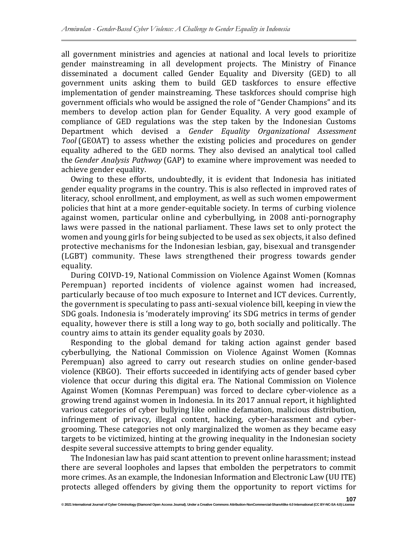all government ministries and agencies at national and local levels to prioritize gender mainstreaming in all development projects. The Ministry of Finance disseminated a document called Gender Equality and Diversity (GED) to all government units asking them to build GED taskforces to ensure effective implementation of gender mainstreaming. These taskforces should comprise high government officials who would be assigned the role of "Gender Champions" and its members to develop action plan for Gender Equality. A very good example of compliance of GED regulations was the step taken by the Indonesian Customs Department which devised a *Gender Equality Organizational Assessment Tool* (GEOAT) to assess whether the existing policies and procedures on gender equality adhered to the GED norms. They also devised an analytical tool called the *Gender Analysis Pathway* (GAP) to examine where improvement was needed to achieve gender equality.

Owing to these efforts, undoubtedly, it is evident that [Indonesia has initiated](https://twitter.com/intent/tweet?text=Indonesia+has+made+considerable+progress+toward+gender+equality+over+the+past+decade%2C+with+improved+rates+of+literacy%2C+school+enrollment%2C+and+employment%2C+as+well+as+policies+to+pave+the+way+for+a+more+gender-equitable+society.&url=https://blogs.worldbank.org/eastasiapacific/gender-and-education-indonesia-progress-more-work-be-done/?cid=SHR_BlogSiteTweetable_EN_EXT&via=WB_AsiaPacific)  [gender equality programs in the country. This is also reflected in improved rates of](https://twitter.com/intent/tweet?text=Indonesia+has+made+considerable+progress+toward+gender+equality+over+the+past+decade%2C+with+improved+rates+of+literacy%2C+school+enrollment%2C+and+employment%2C+as+well+as+policies+to+pave+the+way+for+a+more+gender-equitable+society.&url=https://blogs.worldbank.org/eastasiapacific/gender-and-education-indonesia-progress-more-work-be-done/?cid=SHR_BlogSiteTweetable_EN_EXT&via=WB_AsiaPacific)  [literacy, school enrollment, and employment, as well as such women empowerment](https://twitter.com/intent/tweet?text=Indonesia+has+made+considerable+progress+toward+gender+equality+over+the+past+decade%2C+with+improved+rates+of+literacy%2C+school+enrollment%2C+and+employment%2C+as+well+as+policies+to+pave+the+way+for+a+more+gender-equitable+society.&url=https://blogs.worldbank.org/eastasiapacific/gender-and-education-indonesia-progress-more-work-be-done/?cid=SHR_BlogSiteTweetable_EN_EXT&via=WB_AsiaPacific)  [policies that hint at a more gender-equitable society.](https://twitter.com/intent/tweet?text=Indonesia+has+made+considerable+progress+toward+gender+equality+over+the+past+decade%2C+with+improved+rates+of+literacy%2C+school+enrollment%2C+and+employment%2C+as+well+as+policies+to+pave+the+way+for+a+more+gender-equitable+society.&url=https://blogs.worldbank.org/eastasiapacific/gender-and-education-indonesia-progress-more-work-be-done/?cid=SHR_BlogSiteTweetable_EN_EXT&via=WB_AsiaPacific) In terms of curbing violence against women, particular online and cyberbullying, in 2008 anti-pornography laws were passed in the national parliament. These laws set to only protect the women and young girls for being subjected to be used as sex objects, it also defined protective mechanisms for the Indonesian lesbian, gay, bisexual and transgender (LGBT) community. These laws strengthened their progress towards gender equality.

During COIVD-19, National Commission on Violence Against Women (Komnas Perempuan) reported incidents of violence against women had increased, particularly because of too much exposure to Internet and ICT devices. Currently, the government is speculating to pass anti-sexual violence bill, keeping in view the SDG goals. Indonesia is 'moderately improving' its SDG metrics in terms of gender equality, however there is still a long way to go, both socially and politically. The country aims to attain its gender equality goals by 2030.

Responding to the global demand for taking action against gender based cyberbullying, the National Commission on Violence Against Women (Komnas Perempuan) also agreed to carry out research studies on online gender-based violence (KBGO). Their efforts succeeded in identifying acts of gender based cyber violence that occur during this digital era. The National Commission on Violence Against Women (Komnas Perempuan) was forced to declare cyber-violence as a growing trend against women in Indonesia. In its 2017 annual report, it highlighted various categories of cyber bullying like online defamation, malicious distribution, infringement of privacy, illegal content, hacking, cyber-harassment and cybergrooming. These categories not only marginalized the women as they became easy targets to be victimized, hinting at the growing inequality in the Indonesian society despite several successive attempts to bring gender equality.

The Indonesian law has paid scant attention to prevent online harassment; instead there are several loopholes and lapses that embolden the perpetrators to commit more crimes. As an example, the Indonesian Information and Electronic Law (UU ITE) protects alleged offenders by giving them the opportunity to report victims for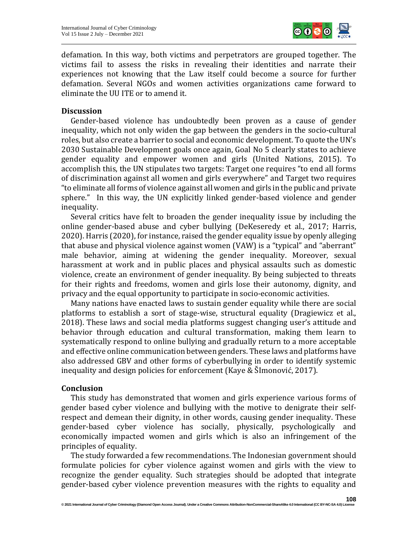

defamation. In this way, both victims and perpetrators are grouped together. The victims fail to assess the risks in revealing their identities and narrate their experiences not knowing that the Law itself could become a source for further defamation. Several NGOs and women activities organizations came forward to eliminate the UU ITE or to amend it.

## **Discussion**

Gender-based violence has undoubtedly been proven as a cause of gender inequality, which not only widen the gap between the genders in the socio-cultural roles, but also create a barrier to social and economic development. To quote the UN's 2030 Sustainable Development goals once again, Goal No 5 clearly states to achieve gender equality and empower women and girls (United Nations, 2015). To accomplish this, the UN stipulates two targets: Target one requires "to end all forms of discrimination against all women and girls everywhere" and Target two requires "to eliminate all forms of violence against all women and girls in the public and private sphere." In this way, the UN explicitly linked gender-based violence and gender inequality.

Several critics have felt to broaden the gender inequality issue by including the online gender-based abuse and cyber bullying (DeKeseredy et al., 2017; Harris, 2020). Harris (2020), for instance, raised the gender equality issue by openly alleging that abuse and physical violence against women (VAW) is a "typical" and "aberrant" male behavior, aiming at widening the gender inequality. Moreover, sexual harassment at work and in public places and physical assaults such as domestic violence, create an environment of gender inequality. By being subjected to threats for their rights and freedoms, women and girls lose their autonomy, dignity, and privacy and the equal opportunity to participate in socio-economic activities.

Many nations have enacted laws to sustain gender equality while there are social platforms to establish a sort of stage-wise, structural equality (Dragiewicz et al., 2018). These laws and social media platforms suggest changing user's attitude and behavior through education and cultural transformation, making them learn to systematically respond to online bullying and gradually return to a more acceptable and effective online communication between genders. These laws and platforms have also addressed GBV and other forms of cyberbullying in order to identify systemic inequality and design policies for enforcement (Kaye & ŠImonović, 2017).

## **Conclusion**

This study has demonstrated that women and girls experience various forms of gender based cyber violence and bullying with the motive to denigrate their selfrespect and demean their dignity, in other words, causing gender inequality. These gender-based cyber violence has socially, physically, psychologically and economically impacted women and girls which is also an infringement of the principles of equality.

The study forwarded a few recommendations. The Indonesian government should formulate policies for cyber violence against women and girls with the view to recognize the gender equality. Such strategies should be adopted that integrate gender-based cyber violence prevention measures with the rights to equality and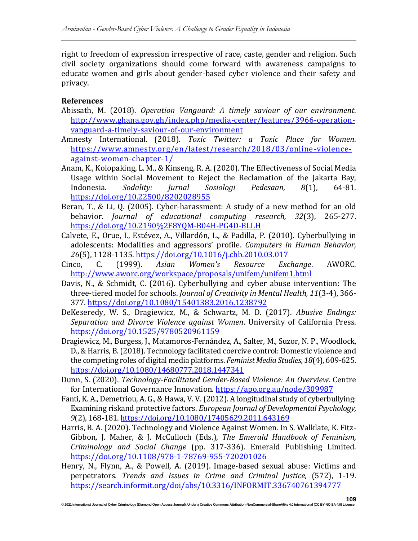right to freedom of expression irrespective of race, caste, gender and religion. Such civil society organizations should come forward with awareness campaigns to educate women and girls about gender-based cyber violence and their safety and privacy.

# **References**

- Abissath, M. (2018). *Operation Vanguard: A timely saviour of our environment*. [http://www.ghana.gov.gh/index.php/media-center/features/3966-operation](http://www.ghana.gov.gh/index.php/media-center/features/3966-operation-vanguard-a-timely-saviour-of-our-environment)[vanguard-a-timely-saviour-of-our-environment](http://www.ghana.gov.gh/index.php/media-center/features/3966-operation-vanguard-a-timely-saviour-of-our-environment)
- Amnesty International. (2018). *Toxic Twitter: a Toxic Place for Women*. [https://www.amnesty.org/en/latest/research/2018/03/online-violence](https://www.amnesty.org/en/latest/research/2018/03/online-violence-against-women-chapter-1/)[against-women-chapter-1/](https://www.amnesty.org/en/latest/research/2018/03/online-violence-against-women-chapter-1/)
- Anam, K., Kolopaking, L. M., & Kinseng, R. A. (2020). The Effectiveness of Social Media Usage within Social Movement to Reject the Reclamation of the Jakarta Bay, Indonesia. *Sodality: Jurnal Sosiologi Pedesaan, 8*(1), 64-81. <https://doi.org/10.22500/8202028955>
- Beran, T., & Li, Q. (2005). Cyber-harassment: A study of a new method for an old behavior. *Journal of educational computing research, 32*(3), 265-277. <https://doi.org/10.2190%2F8YQM-B04H-PG4D-BLLH>
- Calvete, E., Orue, I., Estévez, A., Villardón, L., & Padilla, P. (2010). Cyberbullying in adolescents: Modalities and aggressors' profile. *Computers in Human Behavior, 26*(5), 1128-1135.<https://doi.org/10.1016/j.chb.2010.03.017>
- Cinco, C. (1999). *Asian Women's Resource Exchange*. AWORC*.* <http://www.aworc.org/workspace/proposals/unifem/unifem1.html>
- Davis, N., & Schmidt, C. (2016). Cyberbullying and cyber abuse intervention: The three-tiered model for schools. *Journal of Creativity in Mental Health, 11*(3-4), 366- 377.<https://doi.org/10.1080/15401383.2016.1238792>
- DeKeseredy, W. S., Dragiewicz, M., & Schwartz, M. D. (2017). *Abusive Endings: Separation and Divorce Violence against Women*. University of California Press. <https://doi.org/10.1525/9780520961159>
- Dragiewicz, M., Burgess, J., Matamoros-Fernández, A., Salter, M., Suzor, N. P., Woodlock, D., & Harris, B. (2018). Technology facilitated coercive control: Domestic violence and the competing roles of digital media platforms. *Feminist Media Studies, 18*(4), 609-625. <https://doi.org/10.1080/14680777.2018.1447341>
- Dunn, S. (2020). *Technology-Facilitated Gender-Based Violence: An Overview*. Centre for International Governance Innovation.<https://apo.org.au/node/309987>
- Fanti, K. A., Demetriou, A. G., & Hawa, V. V. (2012). A longitudinal study of cyberbullying: Examining riskand protective factors. *European Journal of Developmental Psychology, 9*(2), 168-181[. https://doi.org/10.1080/17405629.2011.643169](https://doi.org/10.1080/17405629.2011.643169)
- Harris, B. A. (2020). Technology and Violence Against Women. In S. Walklate, K. Fitz-Gibbon, J. Maher, & J. McCulloch (Eds.), *The Emerald Handbook of Feminism, Criminology and Social Change* (pp. 317-336). Emerald Publishing Limited. <https://doi.org/10.1108/978-1-78769-955-720201026>
- Henry, N., Flynn, A., & Powell, A. (2019). Image-based sexual abuse: Victims and perpetrators. *Trends and Issues in Crime and Criminal Justice,* (572), 1-19. <https://search.informit.org/doi/abs/10.3316/INFORMIT.336740761394777>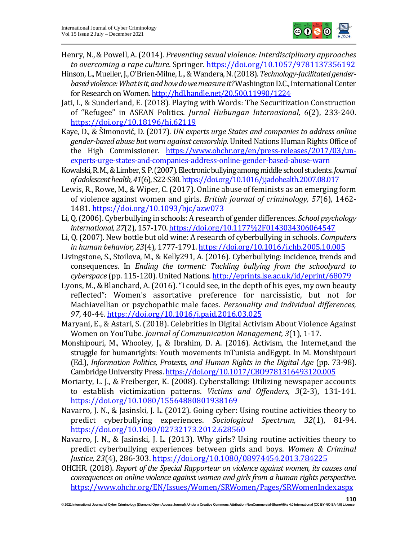

- Henry, N., & Powell, A. (2014). *Preventing sexual violence: Interdisciplinary approaches to overcoming a rape culture*. Springer[. https://doi.org/10.1057/9781137356192](https://doi.org/10.1057/9781137356192)
- Hinson, L., Mueller, J., O'Brien-Milne, L., & Wandera, N. (2018). *Technology-facilitated genderbasedviolence: What is it, and how do we measure it?*Washington D.C., International Center for Research on Women[. http://hdl.handle.net/20.500.11990/1224](http://hdl.handle.net/20.500.11990/1224)
- Jati, I., & Sunderland, E. (2018). Playing with Words: The Securitization Construction of "Refugee" in ASEAN Politics. *Jurnal Hubungan Internasional, 6*(2), 233-240. <https://doi.org/10.18196/hi.62119>
- Kaye, D., & ŠImonović, D. (2017). *UN experts urge States and companies to address online gender-based abuse but warn against censorship*. United Nations Human Rights Office of the High Commissioner*.* [https://www.ohchr.org/en/press-releases/2017/03/un](https://www.ohchr.org/en/press-releases/2017/03/un-experts-urge-states-and-companies-address-online-gender-based-abuse-warn)[experts-urge-states-and-companies-address-online-gender-based-abuse-warn](https://www.ohchr.org/en/press-releases/2017/03/un-experts-urge-states-and-companies-address-online-gender-based-abuse-warn)
- Kowalski, R. M., & Limber, S. P. (2007). Electronic bullying among middle school students. *Journal of adolescent health, 41*(6), S22-S30[. https://doi.org/10.1016/j.jadohealth.2007.08.017](https://doi.org/10.1016/j.jadohealth.2007.08.017)
- Lewis, R., Rowe, M., & Wiper, C. (2017). Online abuse of feminists as an emerging form of violence against women and girls. *British journal of criminology, 57*(6), 1462- 1481.<https://doi.org/10.1093/bjc/azw073>
- Li, Q. (2006). Cyberbullying in schools: A research of gender differences. *School psychology international, 27*(2), 157-170[. https://doi.org/10.1177%2F0143034306064547](https://doi.org/10.1177%2F0143034306064547)
- Li, Q. (2007). New bottle but old wine: A research of cyberbullying in schools. *Computers in human behavior, 23*(4), 1777-1791.<https://doi.org/10.1016/j.chb.2005.10.005>
- Livingstone, S., Stoilova, M., & Kelly291, A. (2016). Cyberbullying: incidence, trends and consequences. In *Ending the torment: Tackling bullying from the schoolyard to cyberspace* (pp. 115-120). United Nations[. http://eprints.lse.ac.uk/id/eprint/68079](http://eprints.lse.ac.uk/id/eprint/68079)
- Lyons, M., & Blanchard, A. (2016). "I could see, in the depth of his eyes, my own beauty reflected": Women's assortative preference for narcissistic, but not for Machiavellian or psychopathic male faces. *Personality and individual differences, 97*, 40-44.<https://doi.org/10.1016/j.paid.2016.03.025>
- Maryani, E., & Astari, S. (2018). Celebrities in Digital Activism About Violence Against Women on YouTube. *Journal of Communication Management, 3*(1), 1-17.
- Monshipouri, M., Whooley, J., & Ibrahim, D. A. (2016). Activism, the Internet,and the struggle for humanrights: Youth movements inTunisia andEgypt. In M. Monshipouri (Ed.), *Information Politics, Protests, and Human Rights in the Digital Age* (pp. 73-98). Cambridge University Press[. https://doi.org/10.1017/CBO9781316493120.005](https://doi.org/10.1017/CBO9781316493120.005)
- Moriarty, L. J., & Freiberger, K. (2008). Cyberstalking: Utilizing newspaper accounts to establish victimization patterns. *Victims and Offenders, 3*(2-3), 131-141. <https://doi.org/10.1080/15564880801938169>
- Navarro, J. N., & Jasinski, J. L. (2012). Going cyber: Using routine activities theory to predict cyberbullying experiences. *Sociological Spectrum, 32*(1), 81-94. <https://doi.org/10.1080/02732173.2012.628560>
- Navarro, J. N., & Jasinski, J. L. (2013). Why girls? Using routine activities theory to predict cyberbullying experiences between girls and boys. *Women & Criminal Justice, 23*(4), 286-303.<https://doi.org/10.1080/08974454.2013.784225>
- OHCHR. (2018). *Report of the Special Rapporteur on violence against women, its causes and consequences on online violence against women and girls from a human rights perspective*. <https://www.ohchr.org/EN/Issues/Women/SRWomen/Pages/SRWomenIndex.aspx>